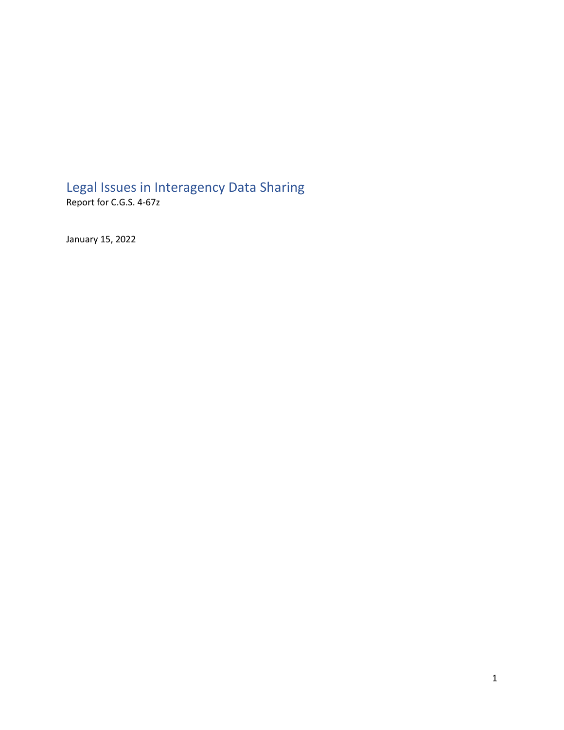# Legal Issues in Interagency Data Sharing

Report for C.G.S. 4-67z

January 15, 2022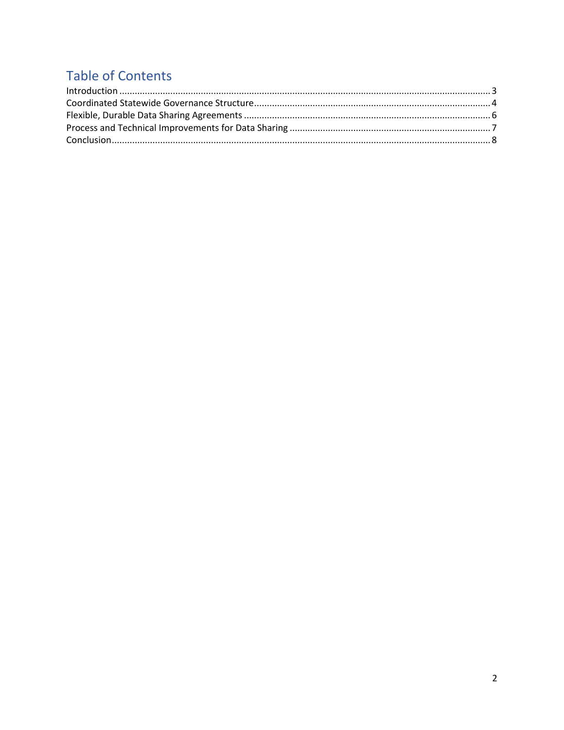## **Table of Contents**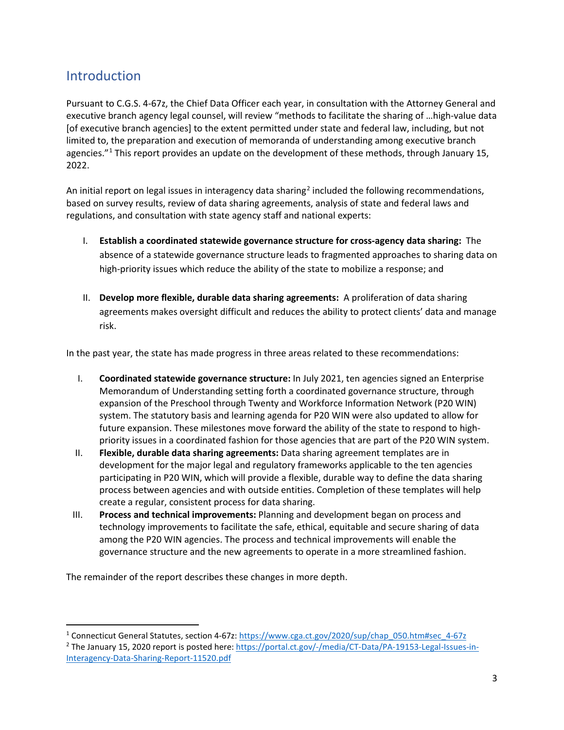#### <span id="page-2-0"></span>Introduction

Pursuant to C.G.S. 4-67z, the Chief Data Officer each year, in consultation with the Attorney General and executive branch agency legal counsel, will review "methods to facilitate the sharing of …high-value data [of executive branch agencies] to the extent permitted under state and federal law, including, but not limited to, the preparation and execution of memoranda of understanding among executive branch agencies."<sup>[1](#page-2-1)</sup> This report provides an update on the development of these methods, through January 15, 2022.

An initial report on legal issues in interagency data sharing<sup>[2](#page-2-2)</sup> included the following recommendations, based on survey results, review of data sharing agreements, analysis of state and federal laws and regulations, and consultation with state agency staff and national experts:

- I. **Establish a coordinated statewide governance structure for cross-agency data sharing:** The absence of a statewide governance structure leads to fragmented approaches to sharing data on high-priority issues which reduce the ability of the state to mobilize a response; and
- II. **Develop more flexible, durable data sharing agreements:** A proliferation of data sharing agreements makes oversight difficult and reduces the ability to protect clients' data and manage risk.

In the past year, the state has made progress in three areas related to these recommendations:

- I. **Coordinated statewide governance structure:** In July 2021, ten agencies signed an Enterprise Memorandum of Understanding setting forth a coordinated governance structure, through expansion of the Preschool through Twenty and Workforce Information Network (P20 WIN) system. The statutory basis and learning agenda for P20 WIN were also updated to allow for future expansion. These milestones move forward the ability of the state to respond to highpriority issues in a coordinated fashion for those agencies that are part of the P20 WIN system.
- II. **Flexible, durable data sharing agreements:** Data sharing agreement templates are in development for the major legal and regulatory frameworks applicable to the ten agencies participating in P20 WIN, which will provide a flexible, durable way to define the data sharing process between agencies and with outside entities. Completion of these templates will help create a regular, consistent process for data sharing.
- III. **Process and technical improvements:** Planning and development began on process and technology improvements to facilitate the safe, ethical, equitable and secure sharing of data among the P20 WIN agencies. The process and technical improvements will enable the governance structure and the new agreements to operate in a more streamlined fashion.

The remainder of the report describes these changes in more depth.

<span id="page-2-1"></span><sup>1</sup> Connecticut General Statutes, section 4-67z: [https://www.cga.ct.gov/2020/sup/chap\\_050.htm#sec\\_4-67z](https://www.cga.ct.gov/2020/sup/chap_050.htm#sec_4-67z)

<span id="page-2-2"></span><sup>&</sup>lt;sup>2</sup> The January 15, 2020 report is posted here[: https://portal.ct.gov/-/media/CT-Data/PA-19153-Legal-Issues-in-](https://portal.ct.gov/-/media/CT-Data/PA-19153-Legal-Issues-in-Interagency-Data-Sharing-Report-11520.pdf)[Interagency-Data-Sharing-Report-11520.pdf](https://portal.ct.gov/-/media/CT-Data/PA-19153-Legal-Issues-in-Interagency-Data-Sharing-Report-11520.pdf)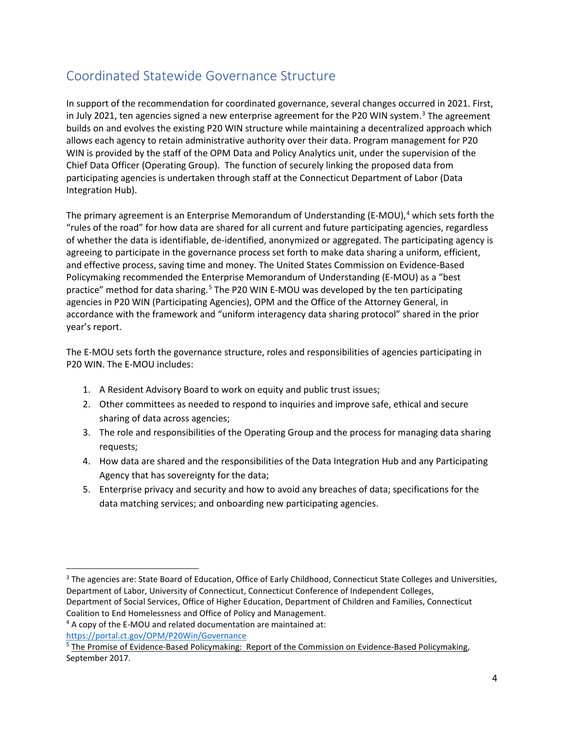### <span id="page-3-0"></span>Coordinated Statewide Governance Structure

In support of the recommendation for coordinated governance, several changes occurred in 2021. First, in July 2021, ten agencies signed a new enterprise agreement for the P20 WIN system. $3$  The agreement builds on and evolves the existing P20 WIN structure while maintaining a decentralized approach which allows each agency to retain administrative authority over their data. Program management for P20 WIN is provided by the staff of the OPM Data and Policy Analytics unit, under the supervision of the Chief Data Officer (Operating Group). The function of securely linking the proposed data from participating agencies is undertaken through staff at the Connecticut Department of Labor (Data Integration Hub).

The primary agreement is an Enterprise Memorandum of Understanding (E-MOU), [4](#page-3-2) which sets forth the "rules of the road" for how data are shared for all current and future participating agencies, regardless of whether the data is identifiable, de-identified, anonymized or aggregated. The participating agency is agreeing to participate in the governance process set forth to make data sharing a uniform, efficient, and effective process, saving time and money. The United States Commission on Evidence-Based Policymaking recommended the Enterprise Memorandum of Understanding (E-MOU) as a "best practice" method for data sharing.<sup>[5](#page-3-3)</sup> The P20 WIN E-MOU was developed by the ten participating agencies in P20 WIN (Participating Agencies), OPM and the Office of the Attorney General, in accordance with the framework and "uniform interagency data sharing protocol" shared in the prior year's report.

The E-MOU sets forth the governance structure, roles and responsibilities of agencies participating in P20 WIN. The E-MOU includes:

- 1. A Resident Advisory Board to work on equity and public trust issues;
- 2. Other committees as needed to respond to inquiries and improve safe, ethical and secure sharing of data across agencies;
- 3. The role and responsibilities of the Operating Group and the process for managing data sharing requests;
- 4. How data are shared and the responsibilities of the Data Integration Hub and any Participating Agency that has sovereignty for the data;
- 5. Enterprise privacy and security and how to avoid any breaches of data; specifications for the data matching services; and onboarding new participating agencies.

<span id="page-3-1"></span><sup>&</sup>lt;sup>3</sup> The agencies are: State Board of Education, Office of Early Childhood, Connecticut State Colleges and Universities, Department of Labor, University of Connecticut, Connecticut Conference of Independent Colleges, Department of Social Services, Office of Higher Education, Department of Children and Families, Connecticut Coalition to End Homelessness and Office of Policy and Management.

<span id="page-3-2"></span><sup>4</sup> A copy of the E-MOU and related documentation are maintained at:

<https://portal.ct.gov/OPM/P20Win/Governance>

<span id="page-3-3"></span><sup>&</sup>lt;sup>5</sup> The Promise of Evidence-Based Policymaking: Report of the Commission on Evidence-Based Policymaking, September 2017.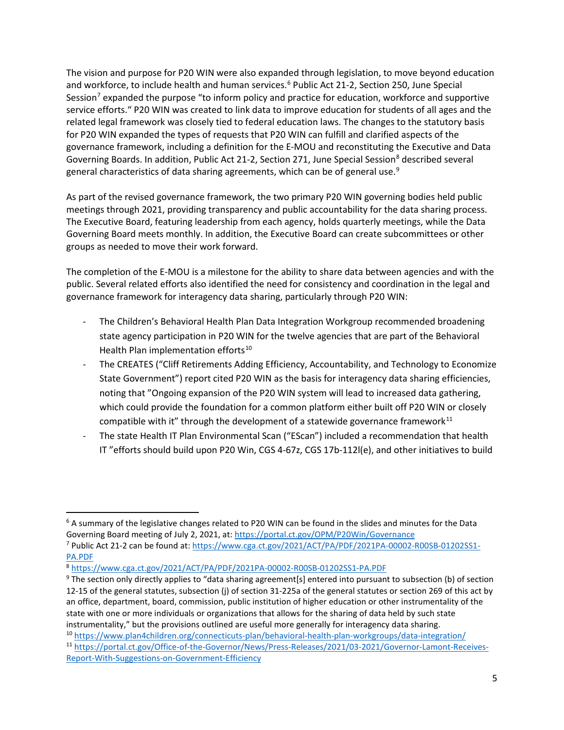The vision and purpose for P20 WIN were also expanded through legislation, to move beyond education and workforce, to include health and human services.<sup>[6](#page-4-0)</sup> Public Act 21-2, Section 250, June Special Session<sup>[7](#page-4-1)</sup> expanded the purpose "to inform policy and practice for education, workforce and supportive service efforts." P20 WIN was created to link data to improve education for students of all ages and the related legal framework was closely tied to federal education laws. The changes to the statutory basis for P20 WIN expanded the types of requests that P20 WIN can fulfill and clarified aspects of the governance framework, including a definition for the E-MOU and reconstituting the Executive and Data Governing Boards. In addition, Public Act 21-2, Section 271, June Special Session<sup>[8](#page-4-2)</sup> described several general characteristics of data sharing agreements, which can be of general use.<sup>[9](#page-4-3)</sup>

As part of the revised governance framework, the two primary P20 WIN governing bodies held public meetings through 2021, providing transparency and public accountability for the data sharing process. The Executive Board, featuring leadership from each agency, holds quarterly meetings, while the Data Governing Board meets monthly. In addition, the Executive Board can create subcommittees or other groups as needed to move their work forward.

The completion of the E-MOU is a milestone for the ability to share data between agencies and with the public. Several related efforts also identified the need for consistency and coordination in the legal and governance framework for interagency data sharing, particularly through P20 WIN:

- The Children's Behavioral Health Plan Data Integration Workgroup recommended broadening state agency participation in P20 WIN for the twelve agencies that are part of the Behavioral Health Plan implementation efforts<sup>[10](#page-4-4)</sup>
- The CREATES ("Cliff Retirements Adding Efficiency, Accountability, and Technology to Economize State Government") report cited P20 WIN as the basis for interagency data sharing efficiencies, noting that "Ongoing expansion of the P20 WIN system will lead to increased data gathering, which could provide the foundation for a common platform either built off P20 WIN or closely compatible with it" through the development of a statewide governance framework $11$
- The state Health IT Plan Environmental Scan ("EScan") included a recommendation that health IT "efforts should build upon P20 Win, CGS 4-67z, CGS 17b-112l(e), and other initiatives to build

<span id="page-4-4"></span>

<span id="page-4-0"></span><sup>6</sup> A summary of the legislative changes related to P20 WIN can be found in the slides and minutes for the Data Governing Board meeting of July 2, 2021, at[: https://portal.ct.gov/OPM/P20Win/Governance](https://portal.ct.gov/OPM/P20Win/Governance)

<span id="page-4-1"></span><sup>7</sup> Public Act 21-2 can be found at: [https://www.cga.ct.gov/2021/ACT/PA/PDF/2021PA-00002-R00SB-01202SS1-](https://www.cga.ct.gov/2021/ACT/PA/PDF/2021PA-00002-R00SB-01202SS1-PA.PDF) [PA.PDF](https://www.cga.ct.gov/2021/ACT/PA/PDF/2021PA-00002-R00SB-01202SS1-PA.PDF)

<span id="page-4-2"></span><sup>8</sup> <https://www.cga.ct.gov/2021/ACT/PA/PDF/2021PA-00002-R00SB-01202SS1-PA.PDF>

<span id="page-4-3"></span><sup>9</sup> The section only directly applies to "data sharing agreement[s] entered into pursuant to subsection (b) of section 12-15 of the general statutes, subsection (j) of section 31-225a of the general statutes or section 269 of this act by an office, department, board, commission, public institution of higher education or other instrumentality of the state with one or more individuals or organizations that allows for the sharing of data held by such state instrumentality," but the provisions outlined are useful more generally for interagency data sharing.<br><sup>10</sup> <https://www.plan4children.org/connecticuts-plan/behavioral-health-plan-workgroups/data-integration/>

<span id="page-4-5"></span><sup>11</sup> [https://portal.ct.gov/Office-of-the-Governor/News/Press-Releases/2021/03-2021/Governor-Lamont-Receives-](https://portal.ct.gov/Office-of-the-Governor/News/Press-Releases/2021/03-2021/Governor-Lamont-Receives-Report-With-Suggestions-on-Government-Efficiency)[Report-With-Suggestions-on-Government-Efficiency](https://portal.ct.gov/Office-of-the-Governor/News/Press-Releases/2021/03-2021/Governor-Lamont-Receives-Report-With-Suggestions-on-Government-Efficiency)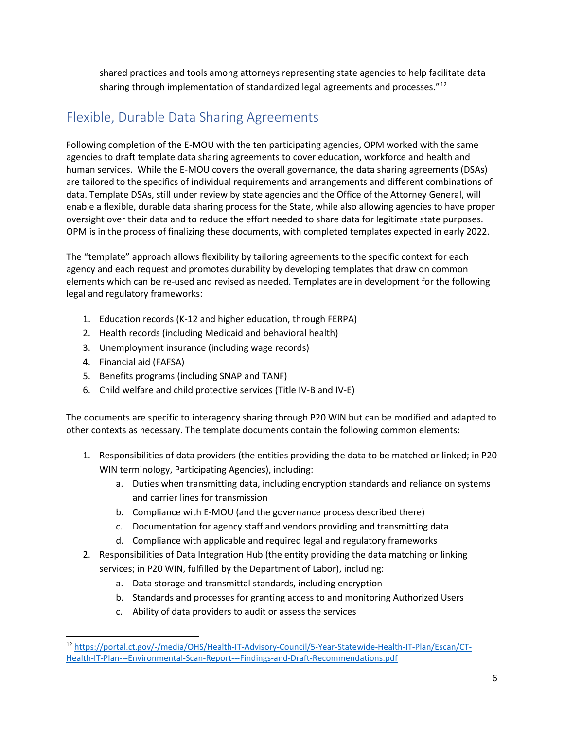shared practices and tools among attorneys representing state agencies to help facilitate data sharing through implementation of standardized legal agreements and processes."<sup>[12](#page-5-1)</sup>

## <span id="page-5-0"></span>Flexible, Durable Data Sharing Agreements

Following completion of the E-MOU with the ten participating agencies, OPM worked with the same agencies to draft template data sharing agreements to cover education, workforce and health and human services. While the E-MOU covers the overall governance, the data sharing agreements (DSAs) are tailored to the specifics of individual requirements and arrangements and different combinations of data. Template DSAs, still under review by state agencies and the Office of the Attorney General, will enable a flexible, durable data sharing process for the State, while also allowing agencies to have proper oversight over their data and to reduce the effort needed to share data for legitimate state purposes. OPM is in the process of finalizing these documents, with completed templates expected in early 2022.

The "template" approach allows flexibility by tailoring agreements to the specific context for each agency and each request and promotes durability by developing templates that draw on common elements which can be re-used and revised as needed. Templates are in development for the following legal and regulatory frameworks:

- 1. Education records (K-12 and higher education, through FERPA)
- 2. Health records (including Medicaid and behavioral health)
- 3. Unemployment insurance (including wage records)
- 4. Financial aid (FAFSA)
- 5. Benefits programs (including SNAP and TANF)
- 6. Child welfare and child protective services (Title IV-B and IV-E)

The documents are specific to interagency sharing through P20 WIN but can be modified and adapted to other contexts as necessary. The template documents contain the following common elements:

- 1. Responsibilities of data providers (the entities providing the data to be matched or linked; in P20 WIN terminology, Participating Agencies), including:
	- a. Duties when transmitting data, including encryption standards and reliance on systems and carrier lines for transmission
	- b. Compliance with E-MOU (and the governance process described there)
	- c. Documentation for agency staff and vendors providing and transmitting data
	- d. Compliance with applicable and required legal and regulatory frameworks
- 2. Responsibilities of Data Integration Hub (the entity providing the data matching or linking services; in P20 WIN, fulfilled by the Department of Labor), including:
	- a. Data storage and transmittal standards, including encryption
	- b. Standards and processes for granting access to and monitoring Authorized Users
	- c. Ability of data providers to audit or assess the services

<span id="page-5-1"></span><sup>12</sup> [https://portal.ct.gov/-/media/OHS/Health-IT-Advisory-Council/5-Year-Statewide-Health-IT-Plan/Escan/CT-](https://portal.ct.gov/-/media/OHS/Health-IT-Advisory-Council/5-Year-Statewide-Health-IT-Plan/Escan/CT-Health-IT-Plan---Environmental-Scan-Report---Findings-and-Draft-Recommendations.pdf)[Health-IT-Plan---Environmental-Scan-Report---Findings-and-Draft-Recommendations.pdf](https://portal.ct.gov/-/media/OHS/Health-IT-Advisory-Council/5-Year-Statewide-Health-IT-Plan/Escan/CT-Health-IT-Plan---Environmental-Scan-Report---Findings-and-Draft-Recommendations.pdf)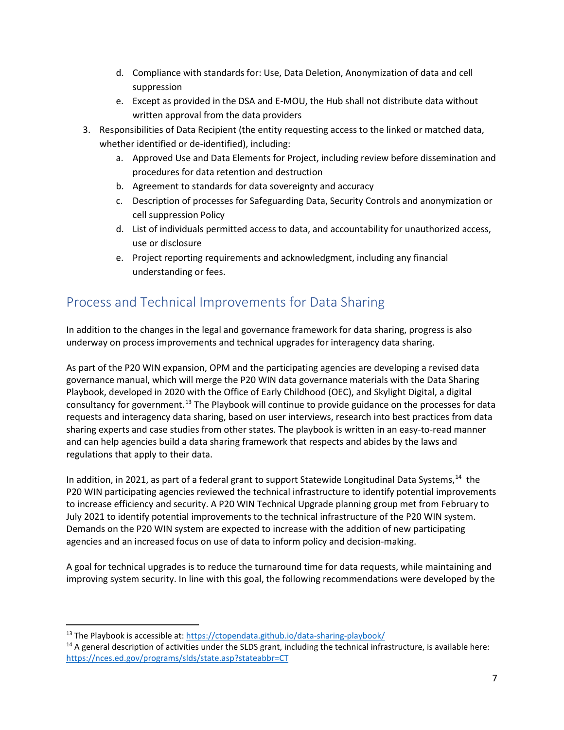- d. Compliance with standards for: Use, Data Deletion, Anonymization of data and cell suppression
- e. Except as provided in the DSA and E-MOU, the Hub shall not distribute data without written approval from the data providers
- 3. Responsibilities of Data Recipient (the entity requesting access to the linked or matched data, whether identified or de-identified), including:
	- a. Approved Use and Data Elements for Project, including review before dissemination and procedures for data retention and destruction
	- b. Agreement to standards for data sovereignty and accuracy
	- c. Description of processes for Safeguarding Data, Security Controls and anonymization or cell suppression Policy
	- d. List of individuals permitted access to data, and accountability for unauthorized access, use or disclosure
	- e. Project reporting requirements and acknowledgment, including any financial understanding or fees.

### <span id="page-6-0"></span>Process and Technical Improvements for Data Sharing

In addition to the changes in the legal and governance framework for data sharing, progress is also underway on process improvements and technical upgrades for interagency data sharing.

As part of the P20 WIN expansion, OPM and the participating agencies are developing a revised data governance manual, which will merge the P20 WIN data governance materials with the Data Sharing Playbook, developed in 2020 with the Office of Early Childhood (OEC), and Skylight Digital, a digital consultancy for government.<sup>[13](#page-6-1)</sup> The Playbook will continue to provide guidance on the processes for data requests and interagency data sharing, based on user interviews, research into best practices from data sharing experts and case studies from other states. The playbook is written in an easy-to-read manner and can help agencies build a data sharing framework that respects and abides by the laws and regulations that apply to their data.

In addition, in 2021, as part of a federal grant to support Statewide Longitudinal Data Systems,<sup>[14](#page-6-2)</sup> the P20 WIN participating agencies reviewed the technical infrastructure to identify potential improvements to increase efficiency and security. A P20 WIN Technical Upgrade planning group met from February to July 2021 to identify potential improvements to the technical infrastructure of the P20 WIN system. Demands on the P20 WIN system are expected to increase with the addition of new participating agencies and an increased focus on use of data to inform policy and decision-making.

A goal for technical upgrades is to reduce the turnaround time for data requests, while maintaining and improving system security. In line with this goal, the following recommendations were developed by the

<span id="page-6-1"></span><sup>13</sup> The Playbook is accessible at:<https://ctopendata.github.io/data-sharing-playbook/>

<span id="page-6-2"></span> $14$  A general description of activities under the SLDS grant, including the technical infrastructure, is available here: <https://nces.ed.gov/programs/slds/state.asp?stateabbr=CT>